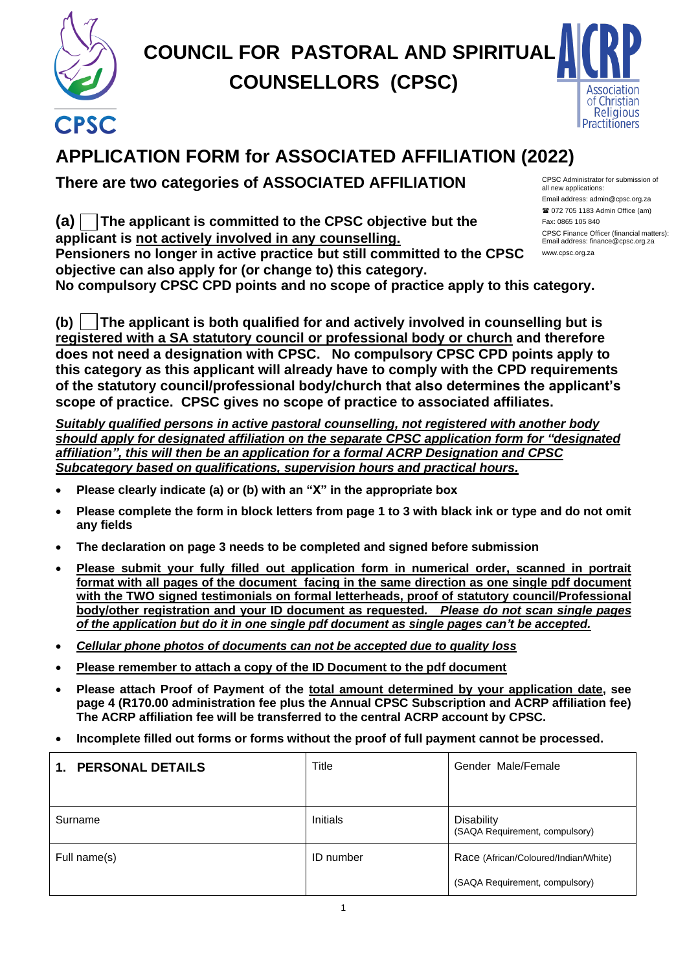

# **COUNCIL FOR PASTORAL AND SPIRITUAL COUNSELLORS (CPSC)**



## **APPLICATION FORM for ASSOCIATED AFFILIATION (2022)**

**There are two categories of ASSOCIATED AFFILIATION**

**(a) The applicant is committed to the CPSC objective but the applicant is not actively involved in any counselling. Pensioners no longer in active practice but still committed to the CPSC objective can also apply for (or change to) this category.** 

**No compulsory CPSC CPD points and no scope of practice apply to this category.**

**(b) The applicant is both qualified for and actively involved in counselling but is registered with a SA statutory council or professional body or church and therefore does not need a designation with CPSC. No compulsory CPSC CPD points apply to this category as this applicant will already have to comply with the CPD requirements**  .saap.za.net**of the statutory council/professional body/church that also determines the applicant's scope of practice. CPSC gives no scope of practice to associated affiliates.**

*Suitably qualified persons in active pastoral counselling, not registered with another body should apply for designated affiliation on the separate CPSC application form for "designated affiliation", this will then be an application for a formal ACRP Designation and CPSC Subcategory based on qualifications, supervision hours and practical hours.* 

- **Please clearly indicate (a) or (b) with an "X" in the appropriate box**
- **Please complete the form in block letters from page 1 to 3 with black ink or type and do not omit any fields**
- **The declaration on page 3 needs to be completed and signed before submission**
- **Please submit your fully filled out application form in numerical order, scanned in portrait format with all pages of the document facing in the same direction as one single pdf document with the TWO signed testimonials on formal letterheads, proof of statutory council/Professional body/other registration and your ID document as requested***. Please do not scan single pages of the application but do it in one single pdf document as single pages can't be accepted.*
- *Cellular phone photos of documents can not be accepted due to quality loss*
- **Please remember to attach a copy of the ID Document to the pdf document**
- **Please attach Proof of Payment of the total amount determined by your application date, see page 4 (R170.00 administration fee plus the Annual CPSC Subscription and ACRP affiliation fee) The ACRP affiliation fee will be transferred to the central ACRP account by CPSC.**
- **Incomplete filled out forms or forms without the proof of full payment cannot be processed.**

| <b>PERSONAL DETAILS</b><br>$\mathbf 1$ . | Title            | Gender Male/Female                                  |
|------------------------------------------|------------------|-----------------------------------------------------|
| Surname                                  | <b>Initials</b>  | <b>Disability</b><br>(SAQA Requirement, compulsory) |
| Full name(s)                             | <b>ID</b> number | Race (African/Coloured/Indian/White)                |
|                                          |                  | (SAQA Requirement, compulsory)                      |

CPSC Administrator for submission of all new applications: Email address: admin@cpsc.org.za 072 705 1183 Admin Office (am) Fax: 0865 105 840 CPSC Finance Officer (financial matters): Email address: finance@cpsc.org.za

www.cpsc.org.za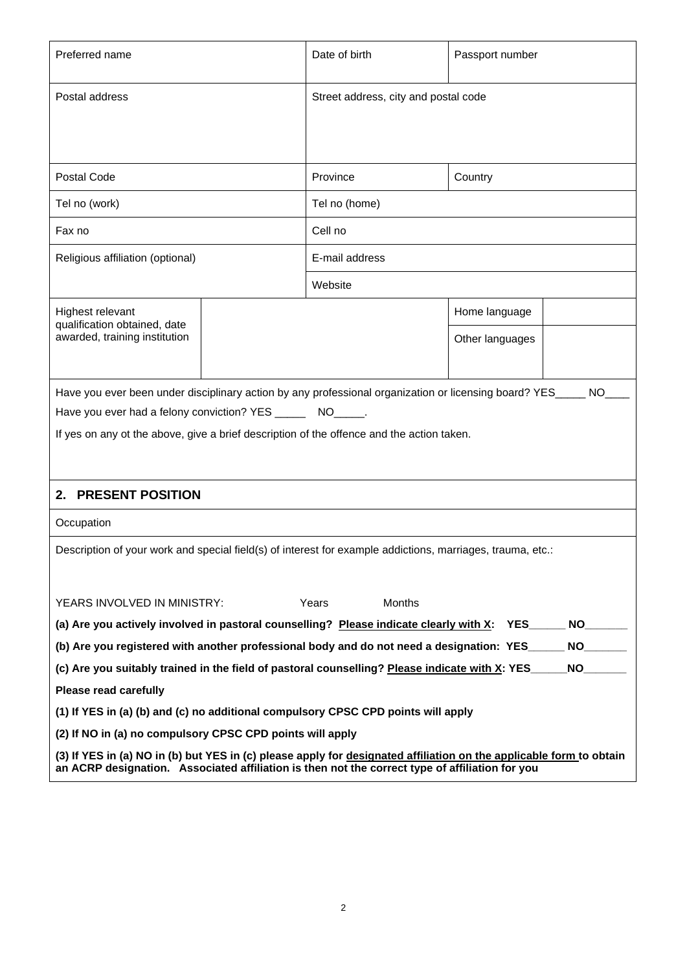| Preferred name                                                                                                                                                                                                         | Date of birth                        | Passport number |  |  |
|------------------------------------------------------------------------------------------------------------------------------------------------------------------------------------------------------------------------|--------------------------------------|-----------------|--|--|
| Postal address                                                                                                                                                                                                         | Street address, city and postal code |                 |  |  |
|                                                                                                                                                                                                                        |                                      |                 |  |  |
|                                                                                                                                                                                                                        |                                      |                 |  |  |
| <b>Postal Code</b>                                                                                                                                                                                                     | Province                             | Country         |  |  |
| Tel no (work)                                                                                                                                                                                                          | Tel no (home)                        |                 |  |  |
| Fax no                                                                                                                                                                                                                 | Cell no                              |                 |  |  |
| Religious affiliation (optional)                                                                                                                                                                                       | E-mail address                       |                 |  |  |
|                                                                                                                                                                                                                        | Website                              |                 |  |  |
| Highest relevant                                                                                                                                                                                                       |                                      | Home language   |  |  |
| qualification obtained, date<br>awarded, training institution                                                                                                                                                          |                                      | Other languages |  |  |
|                                                                                                                                                                                                                        |                                      |                 |  |  |
| Have you ever been under disciplinary action by any professional organization or licensing board? YES___                                                                                                               |                                      | NO.             |  |  |
| Have you ever had a felony conviction? YES ________ NO______.                                                                                                                                                          |                                      |                 |  |  |
| If yes on any ot the above, give a brief description of the offence and the action taken.                                                                                                                              |                                      |                 |  |  |
|                                                                                                                                                                                                                        |                                      |                 |  |  |
| 2. PRESENT POSITION                                                                                                                                                                                                    |                                      |                 |  |  |
| Occupation                                                                                                                                                                                                             |                                      |                 |  |  |
| Description of your work and special field(s) of interest for example addictions, marriages, trauma, etc.:                                                                                                             |                                      |                 |  |  |
|                                                                                                                                                                                                                        |                                      |                 |  |  |
| YEARS INVOLVED IN MINISTRY:                                                                                                                                                                                            | Years<br><b>Months</b>               |                 |  |  |
| (a) Are you actively involved in pastoral counselling? Please indicate clearly with X:<br><b>NO</b><br><b>YES</b>                                                                                                      |                                      |                 |  |  |
| (b) Are you registered with another professional body and do not need a designation: YES<br>NO.                                                                                                                        |                                      |                 |  |  |
| <b>NO</b><br>(c) Are you suitably trained in the field of pastoral counselling? Please indicate with X: YES                                                                                                            |                                      |                 |  |  |
| <b>Please read carefully</b>                                                                                                                                                                                           |                                      |                 |  |  |
| (1) If YES in (a) (b) and (c) no additional compulsory CPSC CPD points will apply                                                                                                                                      |                                      |                 |  |  |
| (2) If NO in (a) no compulsory CPSC CPD points will apply                                                                                                                                                              |                                      |                 |  |  |
| (3) If YES in (a) NO in (b) but YES in (c) please apply for designated affiliation on the applicable form to obtain<br>an ACRP designation. Associated affiliation is then not the correct type of affiliation for you |                                      |                 |  |  |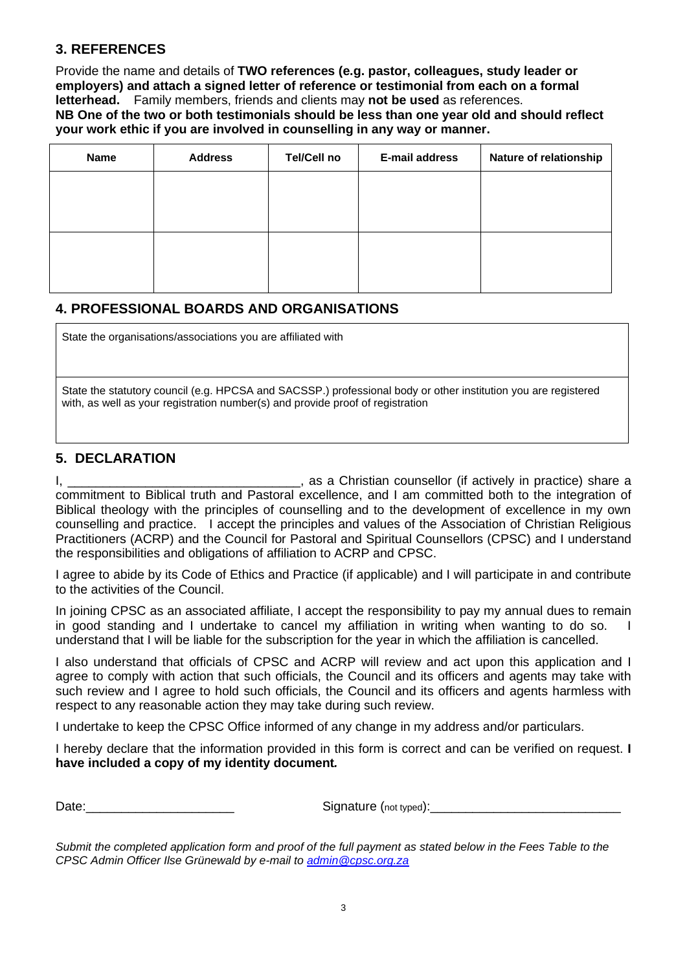#### **3. REFERENCES**

Provide the name and details of **TWO references (e.g. pastor, colleagues, study leader or employers) and attach a signed letter of reference or testimonial from each on a formal letterhead.** Family members, friends and clients may **not be used** as references. **NB One of the two or both testimonials should be less than one year old and should reflect your work ethic if you are involved in counselling in any way or manner.**

| <b>Name</b> | <b>Address</b> | <b>Tel/Cell no</b> | E-mail address | Nature of relationship |
|-------------|----------------|--------------------|----------------|------------------------|
|             |                |                    |                |                        |
|             |                |                    |                |                        |
|             |                |                    |                |                        |
|             |                |                    |                |                        |
|             |                |                    |                |                        |

#### **4. PROFESSIONAL BOARDS AND ORGANISATIONS**

State the organisations/associations you are affiliated with

State the statutory council (e.g. HPCSA and SACSSP.) professional body or other institution you are registered with, as well as your registration number(s) and provide proof of registration

#### **5. DECLARATION**

I, \_\_\_\_\_\_\_\_\_\_\_\_\_\_\_\_\_\_\_\_\_\_\_\_\_\_\_\_\_\_\_\_\_, as a Christian counsellor (if actively in practice) share a commitment to Biblical truth and Pastoral excellence, and I am committed both to the integration of Biblical theology with the principles of counselling and to the development of excellence in my own counselling and practice. I accept the principles and values of the Association of Christian Religious Practitioners (ACRP) and the Council for Pastoral and Spiritual Counsellors (CPSC) and I understand the responsibilities and obligations of affiliation to ACRP and CPSC.

I agree to abide by its Code of Ethics and Practice (if applicable) and I will participate in and contribute to the activities of the Council.

In joining CPSC as an associated affiliate, I accept the responsibility to pay my annual dues to remain in good standing and I undertake to cancel my affiliation in writing when wanting to do so. I understand that I will be liable for the subscription for the year in which the affiliation is cancelled.

I also understand that officials of CPSC and ACRP will review and act upon this application and I agree to comply with action that such officials, the Council and its officers and agents may take with such review and I agree to hold such officials, the Council and its officers and agents harmless with respect to any reasonable action they may take during such review.

I undertake to keep the CPSC Office informed of any change in my address and/or particulars.

I hereby declare that the information provided in this form is correct and can be verified on request. **I have included a copy of my identity document***.*

Date: example and the signature (not typed):  $\Box$ 

*Submit the completed application form and proof of the full payment as stated below in the Fees Table to the CPSC Admin Officer Ilse Grünewald by e-mail to [admin@cpsc.org.za](mailto:admin@cpsc.org.za)*